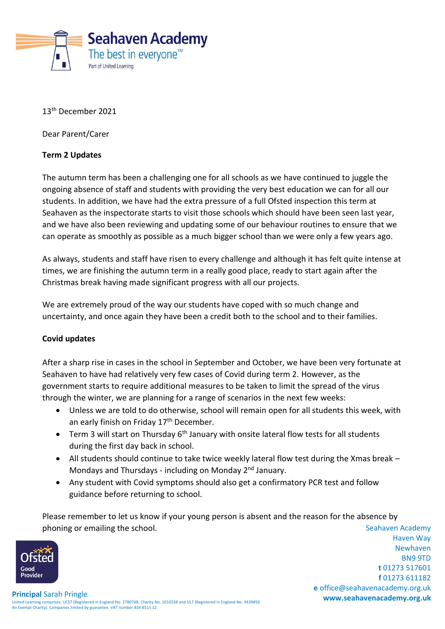

13 th December 2021

Dear Parent/Carer

## **Term 2 Updates**

The autumn term has been a challenging one for all schools as we have continued to juggle the ongoing absence of staff and students with providing the very best education we can for all our students. In addition, we have had the extra pressure of a full Ofsted inspection this term at Seahaven as the inspectorate starts to visit those schools which should have been seen last year, and we have also been reviewing and updating some of our behaviour routines to ensure that we can operate as smoothly as possible as a much bigger school than we were only a few years ago.

As always, students and staff have risen to every challenge and although it has felt quite intense at times, we are finishing the autumn term in a really good place, ready to start again after the Christmas break having made significant progress with all our projects.

We are extremely proud of the way our students have coped with so much change and uncertainty, and once again they have been a credit both to the school and to their families.

## **Covid updates**

After a sharp rise in cases in the school in September and October, we have been very fortunate at Seahaven to have had relatively very few cases of Covid during term 2. However, as the government starts to require additional measures to be taken to limit the spread of the virus through the winter, we are planning for a range of scenarios in the next few weeks:

- Unless we are told to do otherwise, school will remain open for all students this week, with an early finish on Friday 17<sup>th</sup> December.
- Term 3 will start on Thursday 6<sup>th</sup> January with onsite lateral flow tests for all students during the first day back in school.
- All students should continue to take twice weekly lateral flow test during the Xmas break Mondays and Thursdays - including on Monday 2nd January.
- Any student with Covid symptoms should also get a confirmatory PCR test and follow guidance before returning to school.

Seahaven Academy Please remember to let us know if your young person is absent and the reason for the absence by phoning or emailing the school.



Haven Way Newhaven BN9 9TD **t** 01273 517601 **f** 01273 611182 **e** office@seahavenacademy.org.uk